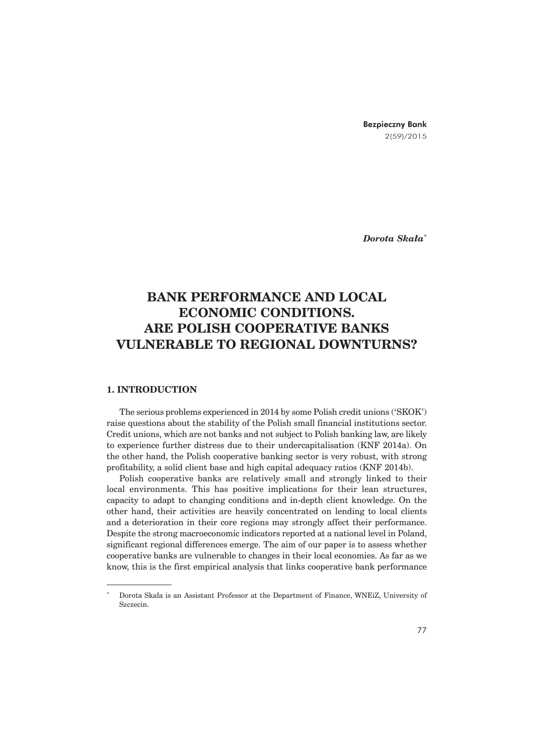Bezpieczny Bank 2(59)/2015

*Dorota Skaïa*\*

# **BANK PERFORMANCE AND LOCAL ECONOMIC CONDITIONS. ARE POLISH COOPERATIVE BANKS VULNERABLE TO REGIONAL DOWNTURNS?**

## **1. INTRODUCTION**

The serious problems experienced in 2014 by some Polish credit unions ('SKOK') raise questions about the stability of the Polish small financial institutions sector. Credit unions, which are not banks and not subject to Polish banking law, are likely to experience further distress due to their undercapitalisation (KNF 2014a). On the other hand, the Polish cooperative banking sector is very robust, with strong profitability, a solid client base and high capital adequacy ratios (KNF 2014b).

Polish cooperative banks are relatively small and strongly linked to their local environments. This has positive implications for their lean structures, capacity to adapt to changing conditions and in-depth client knowledge. On the other hand, their activities are heavily concentrated on lending to local clients and a deterioration in their core regions may strongly affect their performance. Despite the strong macroeconomic indicators reported at a national level in Poland, significant regional differences emerge. The aim of our paper is to assess whether cooperative banks are vulnerable to changes in their local economies. As far as we know, this is the first empirical analysis that links cooperative bank performance

Dorota Skała is an Assistant Professor at the Department of Finance, WNEiZ, University of Szczecin.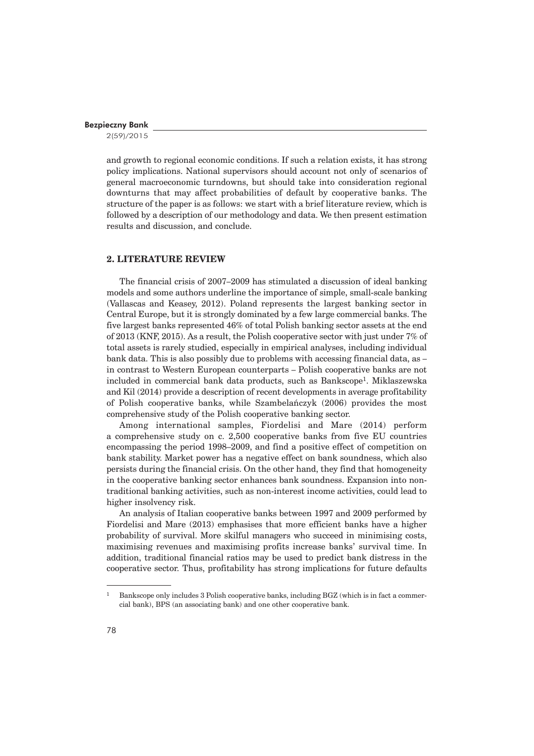2(59)/2015

and growth to regional economic conditions. If such a relation exists, it has strong policy implications. National supervisors should account not only of scenarios of general macroeconomic turndowns, but should take into consideration regional downturns that may affect probabilities of default by cooperative banks. The structure of the paper is as follows: we start with a brief literature review, which is followed by a description of our methodology and data. We then present estimation results and discussion, and conclude.

# **2. LITERATURE REVIEW**

The financial crisis of 2007–2009 has stimulated a discussion of ideal banking models and some authors underline the importance of simple, small-scale banking (Vallascas and Keasey, 2012). Poland represents the largest banking sector in Central Europe, but it is strongly dominated by a few large commercial banks. The five largest banks represented 46% of total Polish banking sector assets at the end of 2013 (KNF, 2015). As a result, the Polish cooperative sector with just under 7% of total assets is rarely studied, especially in empirical analyses, including individual bank data. This is also possibly due to problems with accessing financial data, as – in contrast to Western European counterparts – Polish cooperative banks are not included in commercial bank data products, such as Bankscope1. Miklaszewska and Kil (2014) provide a description of recent developments in average profitability of Polish cooperative banks, while Szambelañczyk (2006) provides the most comprehensive study of the Polish cooperative banking sector.

Among international samples, Fiordelisi and Mare (2014) perform a comprehensive study on c. 2,500 cooperative banks from five EU countries encompassing the period 1998–2009, and find a positive effect of competition on bank stability. Market power has a negative effect on bank soundness, which also persists during the financial crisis. On the other hand, they find that homogeneity in the cooperative banking sector enhances bank soundness. Expansion into nontraditional banking activities, such as non-interest income activities, could lead to higher insolvency risk.

An analysis of Italian cooperative banks between 1997 and 2009 performed by Fiordelisi and Mare (2013) emphasises that more efficient banks have a higher probability of survival. More skilful managers who succeed in minimising costs, maximising revenues and maximising profits increase banks' survival time. In addition, traditional financial ratios may be used to predict bank distress in the cooperative sector. Thus, profitability has strong implications for future defaults

<sup>1</sup> Bankscope only includes 3 Polish cooperative banks, including BGZ (which is in fact a commercial bank), BPS (an associating bank) and one other cooperative bank.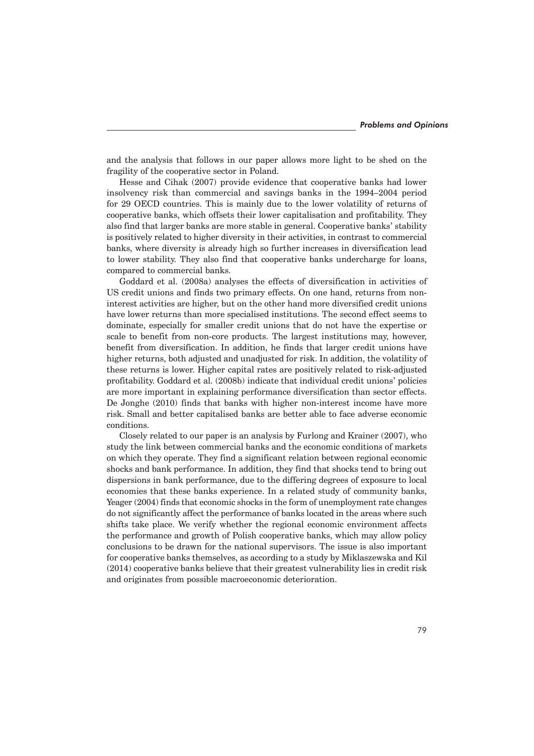and the analysis that follows in our paper allows more light to be shed on the fragility of the cooperative sector in Poland.

Hesse and Cihak (2007) provide evidence that cooperative banks had lower insolvency risk than commercial and savings banks in the 1994–2004 period for 29 OECD countries. This is mainly due to the lower volatility of returns of cooperative banks, which offsets their lower capitalisation and profitability. They also find that larger banks are more stable in general. Cooperative banks' stability is positively related to higher diversity in their activities, in contrast to commercial banks, where diversity is already high so further increases in diversification lead to lower stability. They also find that cooperative banks undercharge for loans, compared to commercial banks.

Goddard et al. (2008a) analyses the effects of diversification in activities of US credit unions and finds two primary effects. On one hand, returns from noninterest activities are higher, but on the other hand more diversified credit unions have lower returns than more specialised institutions. The second effect seems to dominate, especially for smaller credit unions that do not have the expertise or scale to benefit from non-core products. The largest institutions may, however, benefit from diversification. In addition, he finds that larger credit unions have higher returns, both adjusted and unadjusted for risk. In addition, the volatility of these returns is lower. Higher capital rates are positively related to risk-adjusted profitability. Goddard et al. (2008b) indicate that individual credit unions' policies are more important in explaining performance diversification than sector effects. De Jonghe (2010) finds that banks with higher non-interest income have more risk. Small and better capitalised banks are better able to face adverse economic conditions.

Closely related to our paper is an analysis by Furlong and Krainer (2007), who study the link between commercial banks and the economic conditions of markets on which they operate. They find a significant relation between regional economic shocks and bank performance. In addition, they find that shocks tend to bring out dispersions in bank performance, due to the differing degrees of exposure to local economies that these banks experience. In a related study of community banks, Yeager (2004) finds that economic shocks in the form of unemployment rate changes do not significantly affect the performance of banks located in the areas where such shifts take place. We verify whether the regional economic environment affects the performance and growth of Polish cooperative banks, which may allow policy conclusions to be drawn for the national supervisors. The issue is also important for cooperative banks themselves, as according to a study by Miklaszewska and Kil (2014) cooperative banks believe that their greatest vulnerability lies in credit risk and originates from possible macroeconomic deterioration.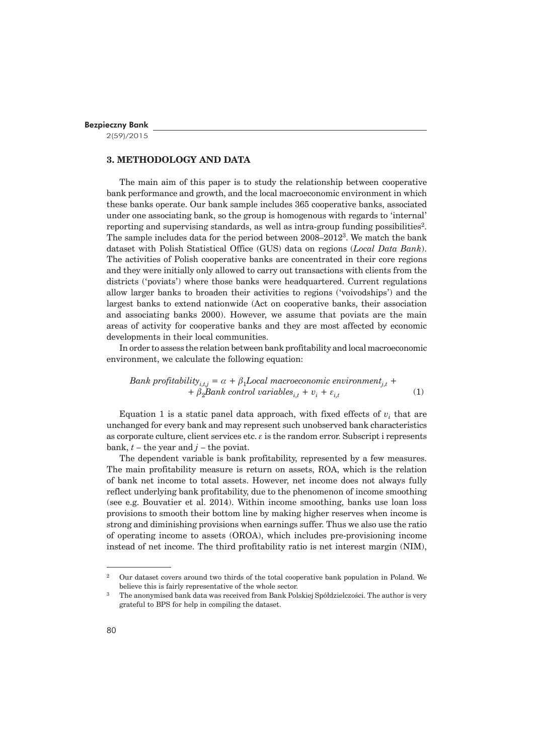2(59)/2015

# **3. METHODOLOGY AND DATA**

The main aim of this paper is to study the relationship between cooperative bank performance and growth, and the local macroeconomic environment in which these banks operate. Our bank sample includes 365 cooperative banks, associated under one associating bank, so the group is homogenous with regards to 'internal' reporting and supervising standards, as well as intra-group funding possibilities<sup>2</sup>. The sample includes data for the period between 2008–20123. We match the bank dataset with Polish Statistical Office (GUS) data on regions (*Local Data Bank*). The activities of Polish cooperative banks are concentrated in their core regions and they were initially only allowed to carry out transactions with clients from the districts ('poviats') where those banks were headquartered. Current regulations allow larger banks to broaden their activities to regions ('voivodships') and the largest banks to extend nationwide (Act on cooperative banks, their association and associating banks 2000). However, we assume that poviats are the main areas of activity for cooperative banks and they are most affected by economic developments in their local communities.

In order to assess the relation between bank profitability and local macroeconomic environment, we calculate the following equation:

*Bank profitability*<sub>i,t,j</sub> = 
$$
\alpha + \beta_1
$$
*Local macroeconomic environment*<sub>j,t</sub> +  
+  $\beta_2$ *Bank control variables*<sub>i,t</sub> +  $v_i$  +  $\varepsilon_{i,t}$  (1)

Equation 1 is a static panel data approach, with fixed effects of  $v_i$  that are unchanged for every bank and may represent such unobserved bank characteristics as corporate culture, client services etc.  $\varepsilon$  is the random error. Subscript i represents bank,  $t$  – the year and  $j$  – the poviat.

The dependent variable is bank profitability, represented by a few measures. The main profitability measure is return on assets, ROA, which is the relation of bank net income to total assets. However, net income does not always fully reflect underlying bank profitability, due to the phenomenon of income smoothing (see e.g. Bouvatier et al. 2014). Within income smoothing, banks use loan loss provisions to smooth their bottom line by making higher reserves when income is strong and diminishing provisions when earnings suffer. Thus we also use the ratio of operating income to assets (OROA), which includes pre-provisioning income instead of net income. The third profitability ratio is net interest margin (NIM),

<sup>2</sup> Our dataset covers around two thirds of the total cooperative bank population in Poland. We believe this is fairly representative of the whole sector.

The anonymised bank data was received from Bank Polskiej Spółdzielczości. The author is very grateful to BPS for help in compiling the dataset.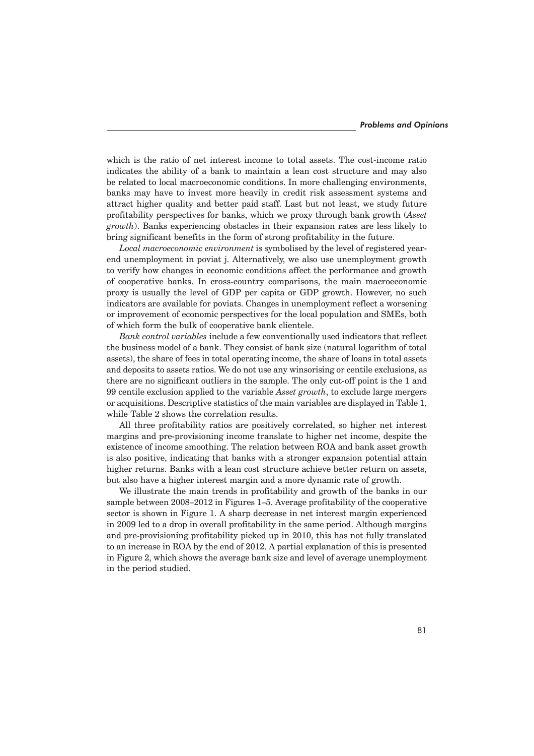which is the ratio of net interest income to total assets. The cost-income ratio indicates the ability of a bank to maintain a lean cost structure and may also be related to local macroeconomic conditions. In more challenging environments, banks may have to invest more heavily in credit risk assessment systems and attract higher quality and better paid staff. Last but not least, we study future profitability perspectives for banks, which we proxy through bank growth (*Asset growth*). Banks experiencing obstacles in their expansion rates are less likely to bring significant benefits in the form of strong profitability in the future.

*Local macroeconomic environment* is symbolised by the level of registered yearend unemployment in poviat j. Alternatively, we also use unemployment growth to verify how changes in economic conditions affect the performance and growth of cooperative banks. In cross-country comparisons, the main macroeconomic proxy is usually the level of GDP per capita or GDP growth. However, no such indicators are available for poviats. Changes in unemployment reflect a worsening or improvement of economic perspectives for the local population and SMEs, both of which form the bulk of cooperative bank clientele.

*Bank control variables* include a few conventionally used indicators that reflect the business model of a bank. They consist of bank size (natural logarithm of total assets), the share of fees in total operating income, the share of loans in total assets and deposits to assets ratios. We do not use any winsorising or centile exclusions, as there are no significant outliers in the sample. The only cut-off point is the 1 and 99 centile exclusion applied to the variable *Asset growth*, to exclude large mergers or acquisitions. Descriptive statistics of the main variables are displayed in Table 1, while Table 2 shows the correlation results.

All three profitability ratios are positively correlated, so higher net interest margins and pre-provisioning income translate to higher net income, despite the existence of income smoothing. The relation between ROA and bank asset growth is also positive, indicating that banks with a stronger expansion potential attain higher returns. Banks with a lean cost structure achieve better return on assets, but also have a higher interest margin and a more dynamic rate of growth.

We illustrate the main trends in profitability and growth of the banks in our sample between 2008–2012 in Figures 1–5. Average profitability of the cooperative sector is shown in Figure 1. A sharp decrease in net interest margin experienced in 2009 led to a drop in overall profitability in the same period. Although margins and pre-provisioning profitability picked up in 2010, this has not fully translated to an increase in ROA by the end of 2012. A partial explanation of this is presented in Figure 2, which shows the average bank size and level of average unemployment in the period studied.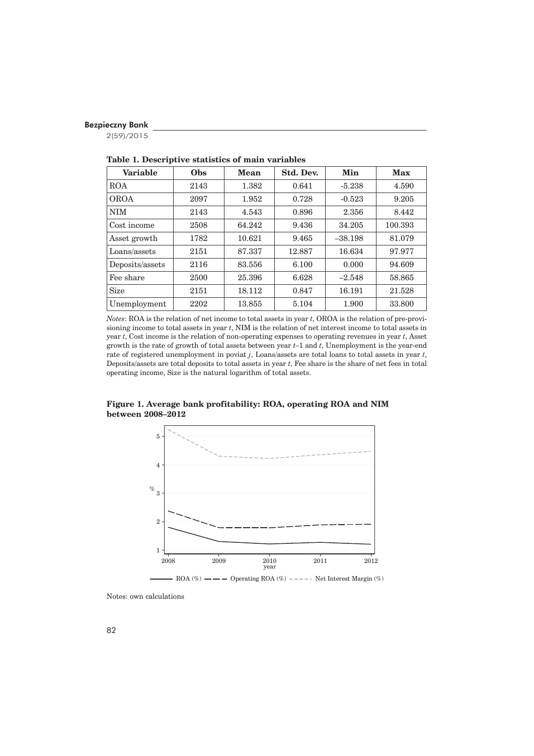2(59)/2015

| <b>Variable</b> | Obs  | Mean   | Std. Dev. | Min       | <b>Max</b> |
|-----------------|------|--------|-----------|-----------|------------|
| <b>ROA</b>      | 2143 | 1.382  | 0.641     | $-5.238$  | 4.590      |
| <b>OROA</b>     | 2097 | 1.952  | 0.728     | $-0.523$  | 9.205      |
| <b>NIM</b>      | 2143 | 4.543  | 0.896     | 2.356     | 8.442      |
| Cost income     | 2508 | 64.242 | 9.436     | 34.205    | 100.393    |
| Asset growth    | 1782 | 10.621 | 9.465     | $-38.198$ | 81.079     |
| Loans/assets    | 2151 | 87.337 | 12.887    | 16.634    | 97.977     |
| Deposits/assets | 2116 | 83.556 | 6.100     | 0.000     | 94.609     |
| Fee share       | 2500 | 25.396 | 6.628     | $-2.548$  | 58.865     |
| <b>Size</b>     | 2151 | 18.112 | 0.847     | 16.191    | 21.528     |
| Unemployment    | 2202 | 13.855 | 5.104     | 1.900     | 33.800     |

**Table 1. Descriptive statistics of main variables**

*Notes*: ROA is the relation of net income to total assets in year *t*, OROA is the relation of pre-provisioning income to total assets in year *t*, NIM is the relation of net interest income to total assets in year *t*, Cost income is the relation of non-operating expenses to operating revenues in year *t*, Asset growth is the rate of growth of total assets between year *t*–1 and *t*, Unemployment is the year-end rate of registered unemployment in poviat *j*, Loans/assets are total loans to total assets in year *t*, Deposits/assets are total deposits to total assets in year *t*, Fee share is the share of net fees in total operating income, Size is the natural logarithm of total assets.



**Figure 1. Average bank profitability: ROA, operating ROA and NIM between 2008–2012**

Notes: own calculations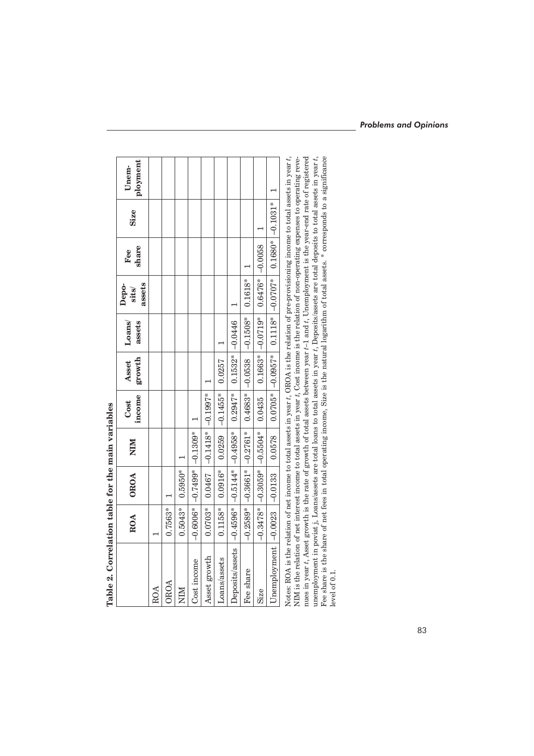|                                                                                                                                              | ROA       | OROA                                                                 | NIM                             | income<br>Cost         | <b>Asset</b><br>growth | Loans/<br>assets | assets<br>Depo-<br>sits/                     | share<br>Fee | <b>Size</b> | ployment<br>Unem- |
|----------------------------------------------------------------------------------------------------------------------------------------------|-----------|----------------------------------------------------------------------|---------------------------------|------------------------|------------------------|------------------|----------------------------------------------|--------------|-------------|-------------------|
| ROA                                                                                                                                          |           |                                                                      |                                 |                        |                        |                  |                                              |              |             |                   |
| OROA                                                                                                                                         | 0.7563*   |                                                                      |                                 |                        |                        |                  |                                              |              |             |                   |
| NIM                                                                                                                                          | $0.5043*$ | $0.5950*$                                                            |                                 |                        |                        |                  |                                              |              |             |                   |
| Cost income                                                                                                                                  |           | $-0.6006*$ $-0.7499*$ $-0.1309*$                                     |                                 |                        |                        |                  |                                              |              |             |                   |
| Asset growth                                                                                                                                 | $0.0703*$ |                                                                      | $0.0467$ $ -0.1418*$ $-0.1997*$ |                        |                        |                  |                                              |              |             |                   |
| Loans/assets                                                                                                                                 | $0.1158*$ | $0.0916*$                                                            | 0.0259                          | $\left[-0.1455\right]$ | 0.0257                 |                  |                                              |              |             |                   |
| Deposits/assets                                                                                                                              |           | $-0.4596*$ $ -0.5144*$ $ -0.4958*$   0.2947*   0.1532* $ -0.0446$    |                                 |                        |                        |                  |                                              |              |             |                   |
| Fee share                                                                                                                                    |           | $-0.2589*$ $-0.3661*$ $-0.2761*$ $-0.4683*$ $-0.0538$ $-0.1508*$ $-$ |                                 |                        |                        |                  | $0.1618*$                                    |              |             |                   |
| Size                                                                                                                                         |           | $-0.3478*$ $ -0.3059*$ $ -0.5504*$   0.0435                          |                                 |                        |                        |                  | $0.1663*$   $-0.0719*$   0.6476*   $-0.0058$ |              |             |                   |
|                                                                                                                                              |           |                                                                      |                                 |                        |                        |                  |                                              |              |             |                   |
| Notes: ROA is the relation of not income to total assets in year f OROA is the relation of pre-provisioning income to total assets in year f |           |                                                                      |                                 |                        |                        |                  |                                              |              |             |                   |

Table 2. Correlation table for the main variables **Table 2. Correlation table for the main variables**

A strain in the transmit of the section in the section of the section of the section of the section of the section of the section of the section of the section of the section of the section of the section of the section o Notes: ROA is the relation of net income to total assets in year *t*, OROA is the relation of pre-provisioning income to total assets in year *t*, Notes: KOA is the relation of net income to total assets in year t, OKOA is the relation of pre-provisioning income to total assets in year t,<br>NIM is the relation of net interest income to total assets in year t, Cost inco nues in year *t*, Asset growth is the rate of growth of total assets between year *t*–1 and *t*, Unemployment is the year-end rate of registered unemployment in poviat j, Loans/assets are total loans to total assets in year *t*, Deposits/assets are total deposits to total assets in year *t*, Fee share is the share of net fees in total operating income, Size is the natural logarithm of total assets. \* corresponds to a significance NIM is the relation of net interest income to total assets in year *t*, Cost income is the relation of non-operating expenses to operating revelevel of 0.1.

# *Problems and Opinions*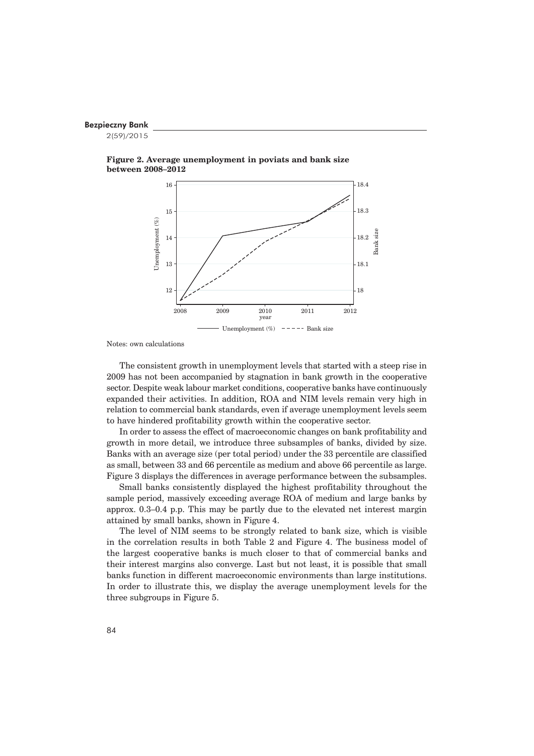2(59)/2015





Notes: own calculations

The consistent growth in unemployment levels that started with a steep rise in 2009 has not been accompanied by stagnation in bank growth in the cooperative sector. Despite weak labour market conditions, cooperative banks have continuously expanded their activities. In addition, ROA and NIM levels remain very high in relation to commercial bank standards, even if average unemployment levels seem to have hindered profitability growth within the cooperative sector.

In order to assess the effect of macroeconomic changes on bank profitability and growth in more detail, we introduce three subsamples of banks, divided by size. Banks with an average size (per total period) under the 33 percentile are classified as small, between 33 and 66 percentile as medium and above 66 percentile as large. Figure 3 displays the differences in average performance between the subsamples.

Small banks consistently displayed the highest profitability throughout the sample period, massively exceeding average ROA of medium and large banks by approx. 0.3–0.4 p.p. This may be partly due to the elevated net interest margin attained by small banks, shown in Figure 4.

The level of NIM seems to be strongly related to bank size, which is visible in the correlation results in both Table 2 and Figure 4. The business model of the largest cooperative banks is much closer to that of commercial banks and their interest margins also converge. Last but not least, it is possible that small banks function in different macroeconomic environments than large institutions. In order to illustrate this, we display the average unemployment levels for the three subgroups in Figure 5.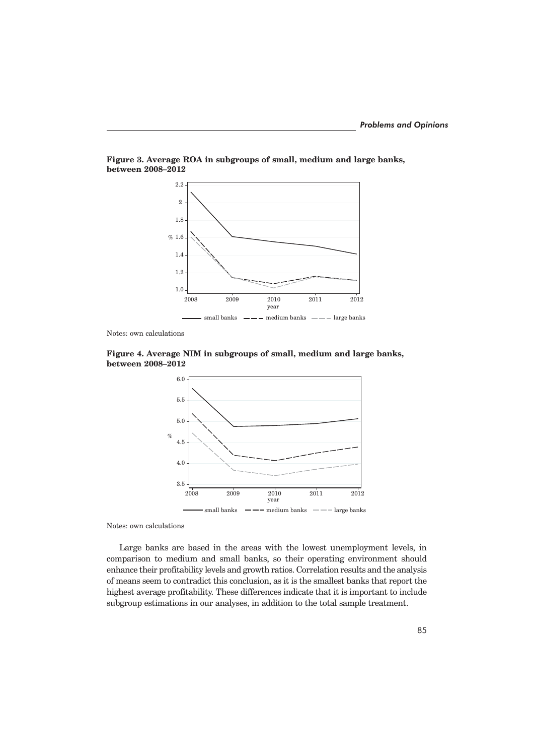

**Figure 3. Average ROA in subgroups of small, medium and large banks, between 2008–2012**

Notes: own calculations





Notes: own calculations

Large banks are based in the areas with the lowest unemployment levels, in comparison to medium and small banks, so their operating environment should enhance their profitability levels and growth ratios. Correlation results and the analysis of means seem to contradict this conclusion, as it is the smallest banks that report the highest average profitability. These differences indicate that it is important to include subgroup estimations in our analyses, in addition to the total sample treatment.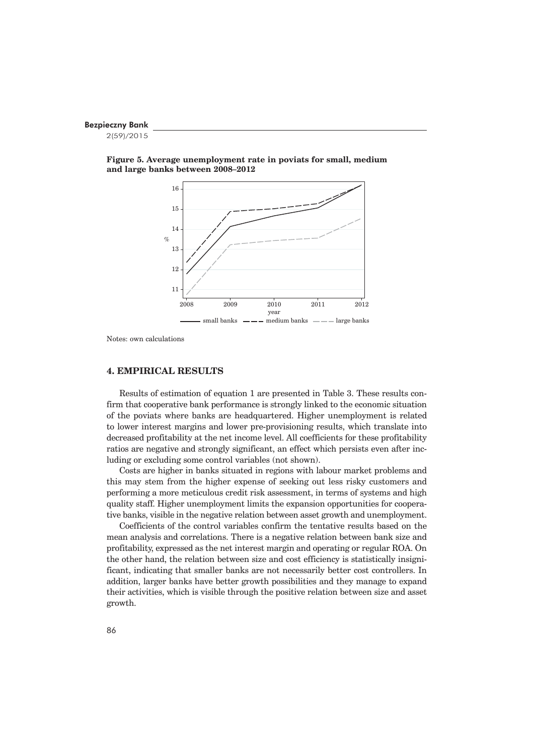2(59)/2015





Notes: own calculations

#### **4. EMPIRICAL RESULTS**

Results of estimation of equation 1 are presented in Table 3. These results confirm that cooperative bank performance is strongly linked to the economic situation of the poviats where banks are headquartered. Higher unemployment is related to lower interest margins and lower pre-provisioning results, which translate into decreased profitability at the net income level. All coefficients for these profitability ratios are negative and strongly significant, an effect which persists even after including or excluding some control variables (not shown).

Costs are higher in banks situated in regions with labour market problems and this may stem from the higher expense of seeking out less risky customers and performing a more meticulous credit risk assessment, in terms of systems and high quality staff. Higher unemployment limits the expansion opportunities for cooperative banks, visible in the negative relation between asset growth and unemployment.

Coefficients of the control variables confirm the tentative results based on the mean analysis and correlations. There is a negative relation between bank size and profitability, expressed as the net interest margin and operating or regular ROA. On the other hand, the relation between size and cost efficiency is statistically insignificant, indicating that smaller banks are not necessarily better cost controllers. In addition, larger banks have better growth possibilities and they manage to expand their activities, which is visible through the positive relation between size and asset growth.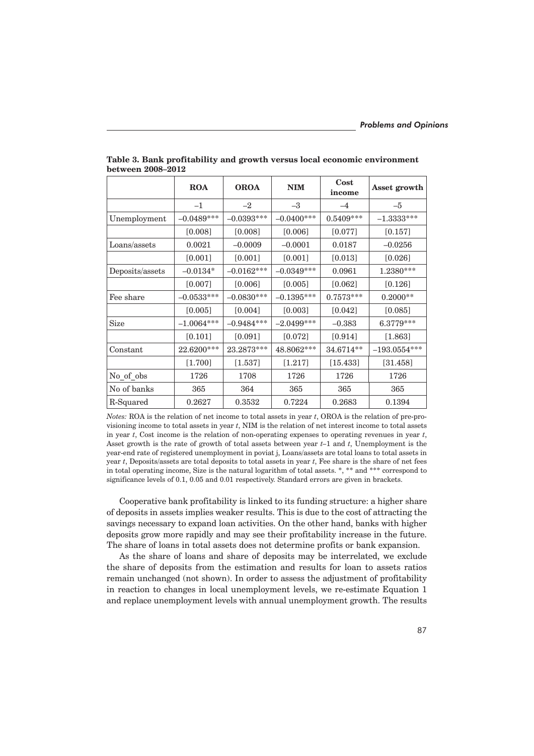|                 | <b>ROA</b>   | <b>OROA</b>  | <b>NIM</b>   | Cost<br>income | Asset growth    |
|-----------------|--------------|--------------|--------------|----------------|-----------------|
|                 | $^{-1}$      | $-2$         | $-3$         | $-4$           | $-5$            |
| Unemployment    | $-0.0489***$ | $-0.0393***$ | $-0.0400***$ | $0.5409***$    | $-1.3333^{***}$ |
|                 | [0.008]      | [0.008]      | [0.006]      | [0.077]        | $[0.157]$       |
| Loans/assets    | 0.0021       | $-0.0009$    | $-0.0001$    | 0.0187         | $-0.0256$       |
|                 | $[0.001]$    | $[0.001]$    | $[0.001]$    | $[0.013]$      | $[0.026]$       |
| Deposits/assets | $-0.0134*$   | $-0.0162***$ | $-0.0349***$ | 0.0961         | 1.2380***       |
|                 | $[0.007]$    | $[0.006]$    | $[0.005]$    | $[0.062]$      | $[0.126]$       |
| Fee share       | $-0.0533***$ | $-0.0830***$ | $-0.1395***$ | $0.7573***$    | $0.2000**$      |
|                 | [0.005]      | [0.004]      | [0.003]      | [0.042]        | [0.085]         |
| <b>Size</b>     | $-1.0064***$ | $-0.9484***$ | $-2.0499***$ | $-0.383$       | 6.3779***       |
|                 | [0.101]      | [0.091]      | $[0.072]$    | $[0.914]$      | $[1.863]$       |
| Constant        | 22.6200***   | 23.2873***   | 48.8062***   | 34.6714**      | $-193.0554***$  |
|                 | $[1.700]$    | $[1.537]$    | $[1.217]$    | $[15.433]$     | $[31.458]$      |
| No_of_obs       | 1726         | 1708         | 1726         | 1726           | 1726            |
| No of banks     | 365          | 364          | 365          | 365            | 365             |
| R-Squared       | 0.2627       | 0.3532       | 0.7224       | 0.2683         | 0.1394          |

**Table 3. Bank profitability and growth versus local economic environment between 2008–2012**

*Notes:* ROA is the relation of net income to total assets in year *t*, OROA is the relation of pre-provisioning income to total assets in year *t*, NIM is the relation of net interest income to total assets in year *t*, Cost income is the relation of non-operating expenses to operating revenues in year *t*, Asset growth is the rate of growth of total assets between year *t–*1 and *t*, Unemployment is the year-end rate of registered unemployment in poviat j, Loans/assets are total loans to total assets in year *t*, Deposits/assets are total deposits to total assets in year *t*, Fee share is the share of net fees in total operating income, Size is the natural logarithm of total assets. \*, \*\* and \*\*\* correspond to significance levels of 0.1, 0.05 and 0.01 respectively. Standard errors are given in brackets.

Cooperative bank profitability is linked to its funding structure: a higher share of deposits in assets implies weaker results. This is due to the cost of attracting the savings necessary to expand loan activities. On the other hand, banks with higher deposits grow more rapidly and may see their profitability increase in the future. The share of loans in total assets does not determine profits or bank expansion.

As the share of loans and share of deposits may be interrelated, we exclude the share of deposits from the estimation and results for loan to assets ratios remain unchanged (not shown). In order to assess the adjustment of profitability in reaction to changes in local unemployment levels, we re-estimate Equation 1 and replace unemployment levels with annual unemployment growth. The results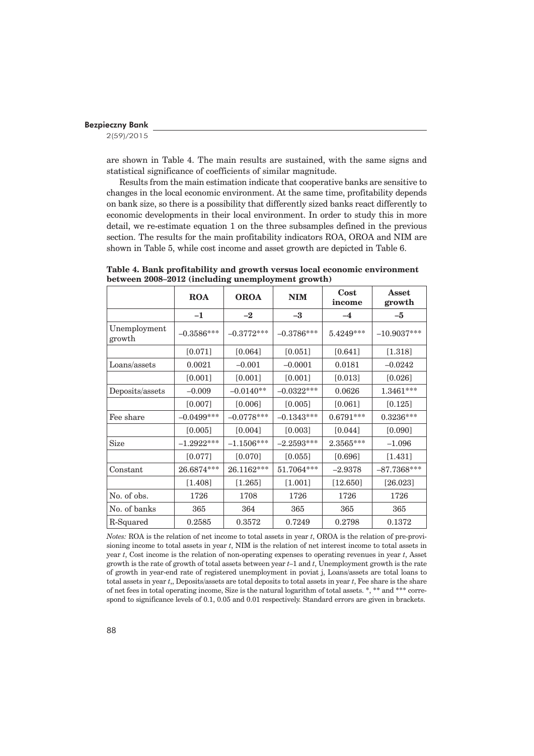2(59)/2015

are shown in Table 4. The main results are sustained, with the same signs and statistical significance of coefficients of similar magnitude.

Results from the main estimation indicate that cooperative banks are sensitive to changes in the local economic environment. At the same time, profitability depends on bank size, so there is a possibility that differently sized banks react differently to economic developments in their local environment. In order to study this in more detail, we re-estimate equation 1 on the three subsamples defined in the previous section. The results for the main profitability indicators ROA, OROA and NIM are shown in Table 5, while cost income and asset growth are depicted in Table 6.

|                        | <b>ROA</b>   | <b>OROA</b>  | <b>NIM</b>   | Cost<br>income | Asset<br>growth |
|------------------------|--------------|--------------|--------------|----------------|-----------------|
|                        | $-1$         | $-2$         | $-3$         | $-4$           | $-5$            |
| Unemployment<br>growth | $-0.3586***$ | $-0.3772***$ | $-0.3786***$ | 5.4249***      | $-10.9037***$   |
|                        | $[0.071]$    | $[0.064]$    | $[0.051]$    | $[0.641]$      | $[1.318]$       |
| Loans/assets           | 0.0021       | $-0.001$     | $-0.0001$    | 0.0181         | $-0.0242$       |
|                        | $[0.001]$    | $[0.001]$    | $[0.001]$    | $[0.013]$      | [0.026]         |
| Deposits/assets        | $-0.009$     | $-0.0140**$  | $-0.0322***$ | 0.0626         | 1.3461***       |
|                        | [0.007]      | [0.006]      | [0.005]      | $[0.061]$      | [0.125]         |
| Fee share              | $-0.0499***$ | $-0.0778***$ | $-0.1343***$ | $0.6791***$    | $0.3236***$     |
|                        | [0.005]      | [0.004]      | [0.003]      | $[0.044]$      | [0.090]         |
| <b>Size</b>            | $-1.2922***$ | $-1.1506***$ | $-2.2593***$ | 2.3565***      | $-1.096$        |
|                        | $[0.077]$    | $[0.070]$    | $[0.055]$    | $[0.696]$      | $[1.431]$       |
| Constant               | 26.6874***   | 26.1162***   | 51.7064***   | $-2.9378$      | $-87.7368***$   |
|                        | $[1.408]$    | $[1.265]$    | $[1.001]$    | $[12.650]$     | [26.023]        |
| No. of obs.            | 1726         | 1708         | 1726         | 1726           | 1726            |
| No. of banks           | 365          | 364          | 365          | 365            | 365             |
| R-Squared              | 0.2585       | 0.3572       | 0.7249       | 0.2798         | 0.1372          |

**Table 4. Bank profitability and growth versus local economic environment between 2008–2012 (including unemployment growth)**

*Notes:* ROA is the relation of net income to total assets in year *t*, OROA is the relation of pre-provisioning income to total assets in year *t*, NIM is the relation of net interest income to total assets in year *t*, Cost income is the relation of non-operating expenses to operating revenues in year *t*, Asset growth is the rate of growth of total assets between year *t*–1 and *t*, Unemployment growth is the rate of growth in year-end rate of registered unemployment in poviat j, Loans/assets are total loans to total assets in year *t*,, Deposits/assets are total deposits to total assets in year *t*, Fee share is the share of net fees in total operating income, Size is the natural logarithm of total assets. \*, \*\* and \*\*\* correspond to significance levels of 0.1, 0.05 and 0.01 respectively. Standard errors are given in brackets.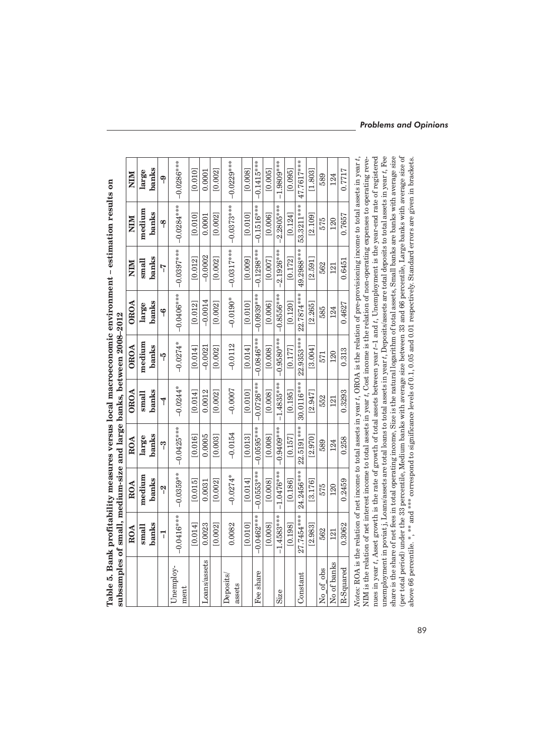|          |                | NIM         |  |
|----------|----------------|-------------|--|
| nemt – i |                | NIM         |  |
|          | anne anno      | ${\rm ORO}$ |  |
|          |                | <b>OROA</b> |  |
|          |                | <b>OROA</b> |  |
|          | nd large banks | ROA         |  |
|          | neguung a      | ROA         |  |
|          | i.<br>ิตทาล    | ROA         |  |
| ţ        |                |             |  |

| subsamples of small, medium-size and large banks, between 2008-2012                                                                            |              |              |              |                |              |                      |              |              |              |
|------------------------------------------------------------------------------------------------------------------------------------------------|--------------|--------------|--------------|----------------|--------------|----------------------|--------------|--------------|--------------|
|                                                                                                                                                | ROA          | ROA          | ROA          | <b>OROA</b>    | <b>OROA</b>  | <b>OROA</b>          | NIM          | NIM          | NIM          |
|                                                                                                                                                | $s$ mall     | medium       | large        | $s$ mall       | medium       | large                | $s$ mall     | medium       | large        |
|                                                                                                                                                | banks        | banks        | banks        | banks          | banks        | banks                | banks        | banks        | banks        |
|                                                                                                                                                | T            | ၛ            | ကို          | $\overline{4}$ | မှ           | ۴                    | 7            | ရာ           | ရာ           |
| Unemploy-<br>ment                                                                                                                              | $-0.0416***$ | $-0.0359***$ | $-0.0425***$ | $-0.0244*$     | $-0.0274*$   | $-0.0406***$         | $-0.0397***$ | $-0.0284***$ | $-0.0286***$ |
|                                                                                                                                                | [0.014]      | [0.015]      | [0.016]      | [0.014]        | [0.014]      | $\left[0.012\right]$ | [0.012]      | [0.010]      | [0.010]      |
| Loans/assets                                                                                                                                   | 0.0023       | 0.0031       | 0.0005       | 0.0012         | $-0.0021$    | $-0.0014$            | $-0.0002$    | 0.0001       | 0.0001       |
|                                                                                                                                                | [0.002]      | [0.002]      | [0.003]      | [0.002]        | [0.002]      | [0.002]              | [0.002]      | [0.002]      | [0.002]      |
| Deposits<br>assets                                                                                                                             | 0.0082       | $-0.0274*$   | $-0.0154$    | $-0.0007$      | $-0.0112$    | $-0.0190*$           | $-0.0317***$ | $-0.0373***$ | $-0.0229***$ |
|                                                                                                                                                | [0.010]      | [0.014]      | [0.013]      | [0.010]        | [0.014]      | [0.010]              | [0.009]      | [0.010]      | [0.008]      |
| Fee share                                                                                                                                      | $-0.0462***$ | $-0.0553***$ | $-0.0595***$ | $-0.0726***$   | $-0.0846***$ | $-0.0939***$         | $-0.1298***$ | $-0.1516***$ | $-0.1415***$ |
|                                                                                                                                                | [0.008]      | [0.008]      | [0.008]      | [0.008]        | [0.008]      | [0.006]              | [0.007]      | [0.006]      | [0.005]      |
| Size                                                                                                                                           | $-1.4583***$ | $-1.0476***$ | $-0.9409***$ | $-1.4835***$   | $-0.9580***$ | $-0.8556***$         | $-2.1926***$ | $-2.2805***$ | $-1.9809***$ |
|                                                                                                                                                | [0.198]      | [0.186]      | [0.157]      | [0.195]        | [0.177]      | [0.120]              | [0.172]      | [0.124]      | [0.095]      |
| Constant                                                                                                                                       | 27.7454****  | 24.2456***   | 22.5191 ***  | 30.0116***     | 22.9353***   | 22.7874 ***          | 49.2988***   | 53.3211***   | 47.7617***   |
|                                                                                                                                                | [2.983]      | [3.176]      | [2.970]      | [2.947]        | [3.004]      | [2.265]              | [2.591]      | [2.109]      | [1.803]      |
| No of obs                                                                                                                                      | 562          | 575          | 589          | 552            | 571          | 585                  | 562          | 575          | 589          |
| No of banks                                                                                                                                    | 121          | 120          | 124          | 121            | 120          | 124                  | 121          | 120          | 124          |
| R-Squared                                                                                                                                      | 0.3062       | 0.2459       | 0.258        | 0.3293         | 0.313        | 0.4627               | 0.6451       | 0.7657       | 0.7717       |
| Notes: ROA is the relation of net income to total assets in year t, OROA is the relation of pre-provisioning income to total assets in year t, |              |              |              |                |              |                      |              |              |              |

(per total period) under the 33 percentile, Medium banks with average size between 33 and 66 percentile, Large banks with average size of<br>above 66 percentile. \*, \*\* and \*\*\* correspond to significance levels of 0.1, 0.05 an nues in year *t*, Asset growth is the rate of growth of total assets between year *t*–1 and *t*, Unemployment is the year-end rate of registered unemployment in poviat j, Loans/assets are total loans to total assets in year  $t$ , Deposits/assets are total deposits to total assets in year  $t$ , Fee share is the share of net fees in total operating income, Size is the unemployment in poviat j, Loans/assets are total loans to total assets in year *t*, Deposits/assets are total deposits to total assets in year *t*, Fee share is the share of net fees in total operating income, Size is the natural logarithm of total assets, Small banks are banks with average size (per total period) under the 33 percentile, Medium banks with average size between 33 and 66 percentile, Large banks with average size of NIM is the relation of net interest income to total assets in year t, Cost income is the relation of non-operating expenses to operating revenues in year t, Asset growth is the rate of growth of total assets between year t-1 and t, Unemployment is the year-end rate of registered NIM is the relation of net interest income to total assets in year *t*, Cost income is the relation of non-operating expenses to operating reveabove 66 percentile. \*, \*\* and \*\*\* correspond to significance levels of 0.1, 0.05 and 0.01 respectively. Standard errors are given in brackets.

# *Problems and Opinions*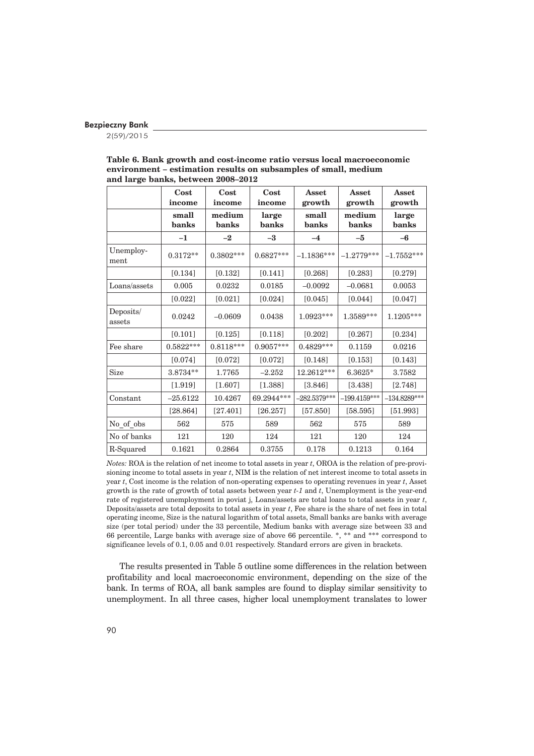2(59)/2015

|                     | Cost<br>income | Cost<br>income  | Cost<br>income | Asset<br>growth | Asset<br>growth | Asset<br>growth |
|---------------------|----------------|-----------------|----------------|-----------------|-----------------|-----------------|
|                     | small<br>banks | medium<br>banks | large<br>banks | small<br>banks  | medium<br>banks | large<br>banks  |
|                     | $-1$           | $-2$            | $-3$           | $-4$            | $-5$            | $-6$            |
| Unemploy-<br>ment   | $0.3172**$     | $0.3802***$     | $0.6827***$    | $-1.1836***$    | $-1.2779***$    | $-1.7552***$    |
|                     | [0.134]        | $[0.132]$       | $[0.141]$      | $[0.268]$       | [0.283]         | $[0.279]$       |
| Loans/assets        | 0.005          | 0.0232          | 0.0185         | $-0.0092$       | $-0.0681$       | 0.0053          |
|                     | [0.022]        | $[0.021]$       | $[0.024]$      | [0.045]         | [0.044]         | [0.047]         |
| Deposits/<br>assets | 0.0242         | $-0.0609$       | 0.0438         | 1.0923***       | $1.3589***$     | $1.1205***$     |
|                     | [0.101]        | $[0.125]$       | [0.118]        | $[0.202]$       | $[0.267]$       | $[0.234]$       |
| Fee share           | $0.5822***$    | $0.8118***$     | $0.9057***$    | $0.4829***$     | 0.1159          | 0.0216          |
|                     | [0.074]        | [0.072]         | [0.072]        | [0.148]         | [0.153]         | [0.143]         |
| Size                | 3.8734**       | 1.7765          | $-2.252$       | $12.2612***$    | 6.3625*         | 3.7582          |
|                     | [1.919]        | [1.607]         | [1.388]        | [3.846]         | [3.438]         | [2.748]         |
| Constant            | $-25.6122$     | 10.4267         | 69.2944***     | $-282.5379***$  | $-199.4159***$  | $-134.8289***$  |
|                     | [28.864]       | [27.401]        | [26.257]       | [57.850]        | [58.595]        | [51.993]        |
| No of obs           | 562            | 575             | 589            | 562             | 575             | 589             |
| No of banks         | 121            | 120             | 124            | 121             | 120             | 124             |
| R-Squared           | 0.1621         | 0.2864          | 0.3755         | 0.178           | 0.1213          | 0.164           |

#### **Table 6. Bank growth and cost-income ratio versus local macroeconomic environment – estimation results on subsamples of small, medium and large banks, between 2008–2012**

*Notes:* ROA is the relation of net income to total assets in year *t*, OROA is the relation of pre-provisioning income to total assets in year *t*, NIM is the relation of net interest income to total assets in year *t*, Cost income is the relation of non-operating expenses to operating revenues in year *t*, Asset growth is the rate of growth of total assets between year *t-1* and *t*, Unemployment is the year-end rate of registered unemployment in poviat j, Loans/assets are total loans to total assets in year *t*, Deposits/assets are total deposits to total assets in year *t*, Fee share is the share of net fees in total operating income, Size is the natural logarithm of total assets, Small banks are banks with average size (per total period) under the 33 percentile, Medium banks with average size between 33 and 66 percentile, Large banks with average size of above 66 percentile. \*, \*\* and \*\*\* correspond to significance levels of 0.1, 0.05 and 0.01 respectively. Standard errors are given in brackets.

The results presented in Table 5 outline some differences in the relation between profitability and local macroeconomic environment, depending on the size of the bank. In terms of ROA, all bank samples are found to display similar sensitivity to unemployment. In all three cases, higher local unemployment translates to lower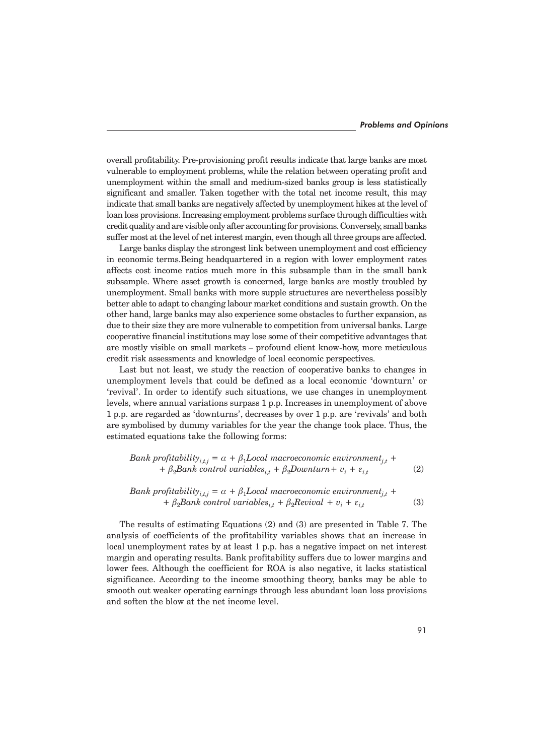overall profitability. Pre-provisioning profit results indicate that large banks are most vulnerable to employment problems, while the relation between operating profit and unemployment within the small and medium-sized banks group is less statistically significant and smaller. Taken together with the total net income result, this may indicate that small banks are negatively affected by unemployment hikes at the level of loan loss provisions. Increasing employment problems surface through difficulties with credit quality and are visible only after accounting for provisions. Conversely, small banks suffer most at the level of net interest margin, even though all three groups are affected.

Large banks display the strongest link between unemployment and cost efficiency in economic terms.Being headquartered in a region with lower employment rates affects cost income ratios much more in this subsample than in the small bank subsample. Where asset growth is concerned, large banks are mostly troubled by unemployment. Small banks with more supple structures are nevertheless possibly better able to adapt to changing labour market conditions and sustain growth. On the other hand, large banks may also experience some obstacles to further expansion, as due to their size they are more vulnerable to competition from universal banks. Large cooperative financial institutions may lose some of their competitive advantages that are mostly visible on small markets – profound client know-how, more meticulous credit risk assessments and knowledge of local economic perspectives.

Last but not least, we study the reaction of cooperative banks to changes in unemployment levels that could be defined as a local economic 'downturn' or 'revival'. In order to identify such situations, we use changes in unemployment levels, where annual variations surpass 1 p.p. Increases in unemployment of above 1 p.p. are regarded as 'downturns', decreases by over 1 p.p. are 'revivals' and both are symbolised by dummy variables for the year the change took place. Thus, the estimated equations take the following forms:

*Bank profitability*<sub>i,t,j</sub> = 
$$
\alpha + \beta_1
$$
*Local macroeconomic environment*<sub>j,t</sub> +  
+  $\beta_2$ *Bank control variables*<sub>i,t</sub> +  $\beta_2$ *Downturn* +  $v_i$  +  $\varepsilon_{i,t}$  (2)

*Bank profitability*<sub>*i*,*t*<sub>j</sub></sub> = 
$$
\alpha + \beta_1
$$
Local macroeconomic environment<sub>*j*,*t*</sub> +  
+  $\beta_2$ Bank control variables<sub>*i*,*t*</sub> +  $\beta_2$ Reviewal +  $v_i$  +  $\varepsilon_{i,t}$  (3)

The results of estimating Equations (2) and (3) are presented in Table 7. The analysis of coefficients of the profitability variables shows that an increase in local unemployment rates by at least 1 p.p. has a negative impact on net interest margin and operating results. Bank profitability suffers due to lower margins and lower fees. Although the coefficient for ROA is also negative, it lacks statistical significance. According to the income smoothing theory, banks may be able to smooth out weaker operating earnings through less abundant loan loss provisions and soften the blow at the net income level.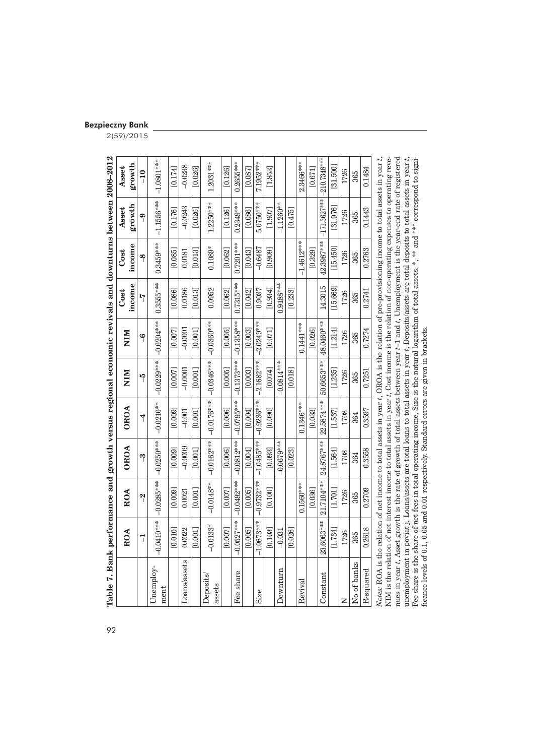| Bezpieczny Bank |  |
|-----------------|--|
|                 |  |
|                 |  |

2(59)/2015

|                                                                                                                                                                                                                                                                                                      | ROA                                                                     | ROA          | <b>OROA</b>  | <b>OROA</b>    | NIM          | NIM          | Cost        | Cost         | Asset                                                                                                                              | Asset          |
|------------------------------------------------------------------------------------------------------------------------------------------------------------------------------------------------------------------------------------------------------------------------------------------------------|-------------------------------------------------------------------------|--------------|--------------|----------------|--------------|--------------|-------------|--------------|------------------------------------------------------------------------------------------------------------------------------------|----------------|
|                                                                                                                                                                                                                                                                                                      |                                                                         |              |              |                |              |              | income      | income       | growth                                                                                                                             | growth         |
|                                                                                                                                                                                                                                                                                                      | 7                                                                       | $\tilde{c}$  | ကု           | $\overline{1}$ | $\tilde{f}$  | ٩            | ק<br>آ      | ရာ           | ရာ                                                                                                                                 | $-10$          |
| Unemploy-<br>ment                                                                                                                                                                                                                                                                                    | $-0.0410***$                                                            | $-0.0285***$ | $-0.0250***$ | $-0.0210***$   | $-0.0229***$ | $-0.0204***$ | 0.3555***   | 0.3459***    | $-1.1556***$                                                                                                                       | $-1.0801***$   |
|                                                                                                                                                                                                                                                                                                      | [0.010]                                                                 | [0.009]      | [0.009]      | [0.009]        | [0.007]      | [0.007]      | [0.086]     | [0.085]      | [0.176]                                                                                                                            | [0.174]        |
| Loans/assets                                                                                                                                                                                                                                                                                         | 0.0022                                                                  | 0.0021       | $-0.0009$    | $-0.001$       | $-0.0001$    | $-0.0001$    | 0.0186      | 0.0181       | $-0.0243$                                                                                                                          | $-0.0238$      |
|                                                                                                                                                                                                                                                                                                      | [0.001]                                                                 | [0.001]      | [0.001]      | [0.001]        | [0.001]      | [0.001]      | [0.013]     | [0.013]      | [0.026]                                                                                                                            | [0.026]        |
| Deposits/<br>assets                                                                                                                                                                                                                                                                                  | $-0.0133*$                                                              | $-0.0148***$ | $-0.0162***$ | $-0.0176***$   | $-0.0346***$ | $-0.0360***$ | 0.0952      | $0.1089*$    | $1.2250***$                                                                                                                        | $1.2031***$    |
|                                                                                                                                                                                                                                                                                                      | [0.007]                                                                 | [0.007]      | [0.006]      | [0.006]        | [0.005]      | [0.005]      | [0.062]     | [0.062]      | [0.126]                                                                                                                            | [0.126]        |
| Fee share                                                                                                                                                                                                                                                                                            | $-0.0527***$                                                            | $-0.0492***$ | $-0.0812***$ | $-0.0795***$   | $-0.1373***$ | $-0.1358***$ | $0.7315***$ | $0.7201***$  | $0.2349***$                                                                                                                        | $0.2655***$    |
|                                                                                                                                                                                                                                                                                                      | [0.005]                                                                 | [0.005]      | [0.004]      | [0.004]        | [0.003]      | [0.003]      | [0.042]     | [0.043]      | [0.086]                                                                                                                            | [0.087]        |
| Size                                                                                                                                                                                                                                                                                                 | $-1.0673***$                                                            | $-0.9732***$ | $-1.0485***$ | $-0.9236***$   | $-2.1682***$ | $-2.0249***$ | 0.9037      | $-0.6487$    | $5.0750***$                                                                                                                        | 7.1952***      |
|                                                                                                                                                                                                                                                                                                      | [0.103]                                                                 | [0.100]      | [0.093]      | [0.090]        | [0.074]      | [0.071]      | [0.934]     | [0.909]      | [1.907]                                                                                                                            | [1.853]        |
| Downturn                                                                                                                                                                                                                                                                                             | $-0.031$                                                                |              | $-0.0679***$ |                | $-0.0814***$ |              | $0.9188***$ |              | $-1.1260***$                                                                                                                       |                |
|                                                                                                                                                                                                                                                                                                      | [0.026]                                                                 |              | [0.023]      |                | [0.018]      |              | [0.233]     |              | [0.475]                                                                                                                            |                |
| Revival                                                                                                                                                                                                                                                                                              |                                                                         | $0.1560***$  |              | $0.1346***$    |              | 0.1441***    |             | $-1.4612***$ |                                                                                                                                    | 2.3466***      |
|                                                                                                                                                                                                                                                                                                      |                                                                         | [0.036]      |              | [0.033]        |              | [0.026]      |             | [0.329]      |                                                                                                                                    | [0.671]        |
| Constant                                                                                                                                                                                                                                                                                             | 23.6063***                                                              | 21.7104***   | 24.8767***   | 22.5874***     | 50.6653***   | 48.0460***   | 14.3015     | 42.3987***   | $-171.3627***$                                                                                                                     | $-210.7348***$ |
|                                                                                                                                                                                                                                                                                                      | [1.734]                                                                 | [1.701]      | 1.564        | [1.537]        | [1.235]      | [1.214]      | 15,669      | 15.450       | 31.976                                                                                                                             | 31.500         |
| z                                                                                                                                                                                                                                                                                                    | 1726                                                                    | 1726         | 1708         | 1708           | 1726         | 1726         | 1726        | 1726         | 1726                                                                                                                               | 1726           |
| No of banks                                                                                                                                                                                                                                                                                          | 365                                                                     | 365          | 364          | 364            | 365          | 365          | 365         | 365          | 365                                                                                                                                | 365            |
| R-squared                                                                                                                                                                                                                                                                                            | 0.2618                                                                  | 0.2709       | 0.3558       | 0.3597         | 0.7251       | 0.7274       | 0.2741      | 0.2763       | 0.1443                                                                                                                             | 0.1484         |
| Notes: ROA is the relation of net income to total assets in year t, OROA is the relation of pre-provisioning income to total assets in year                                                                                                                                                          |                                                                         |              |              |                |              |              |             |              |                                                                                                                                    |                |
| NIM is the relation of net interest income to total assets in year t, Cost income is the relation of non-operating expenses to operating reve-<br>nues in year $t$ , Asset growth is the rate of growth of total assets between year $t-1$ and $t$ , Unemployment is the year-end rate of registered |                                                                         |              |              |                |              |              |             |              |                                                                                                                                    |                |
| unemployment                                                                                                                                                                                                                                                                                         |                                                                         |              |              |                |              |              |             |              | in poviat j, Loans/assets are total loans to total assets in year t, Deposits/assets are total deposits to total assets in year t, |                |
| Fee share is the                                                                                                                                                                                                                                                                                     |                                                                         |              |              |                |              |              |             |              | share of net fees in total operating income, Size is the natural logarithm of total assets. *, *** and *** correspond to signi-    |                |
| ficance levels of                                                                                                                                                                                                                                                                                    | 0.1, 0.05 and 0.01 respectively. Standard errors are given in brackets. |              |              |                |              |              |             |              |                                                                                                                                    |                |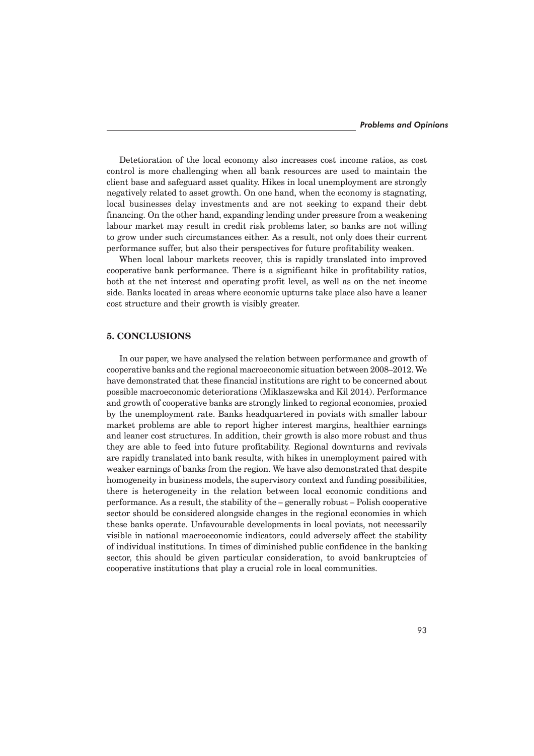Detetioration of the local economy also increases cost income ratios, as cost control is more challenging when all bank resources are used to maintain the client base and safeguard asset quality. Hikes in local unemployment are strongly negatively related to asset growth. On one hand, when the economy is stagnating, local businesses delay investments and are not seeking to expand their debt financing. On the other hand, expanding lending under pressure from a weakening labour market may result in credit risk problems later, so banks are not willing to grow under such circumstances either. As a result, not only does their current performance suffer, but also their perspectives for future profitability weaken.

When local labour markets recover, this is rapidly translated into improved cooperative bank performance. There is a significant hike in profitability ratios, both at the net interest and operating profit level, as well as on the net income side. Banks located in areas where economic upturns take place also have a leaner cost structure and their growth is visibly greater.

## **5. CONCLUSIONS**

In our paper, we have analysed the relation between performance and growth of cooperative banks and the regional macroeconomic situation between 2008–2012. We have demonstrated that these financial institutions are right to be concerned about possible macroeconomic deteriorations (Miklaszewska and Kil 2014). Performance and growth of cooperative banks are strongly linked to regional economies, proxied by the unemployment rate. Banks headquartered in poviats with smaller labour market problems are able to report higher interest margins, healthier earnings and leaner cost structures. In addition, their growth is also more robust and thus they are able to feed into future profitability. Regional downturns and revivals are rapidly translated into bank results, with hikes in unemployment paired with weaker earnings of banks from the region. We have also demonstrated that despite homogeneity in business models, the supervisory context and funding possibilities, there is heterogeneity in the relation between local economic conditions and performance. As a result, the stability of the – generally robust – Polish cooperative sector should be considered alongside changes in the regional economies in which these banks operate. Unfavourable developments in local poviats, not necessarily visible in national macroeconomic indicators, could adversely affect the stability of individual institutions. In times of diminished public confidence in the banking sector, this should be given particular consideration, to avoid bankruptcies of cooperative institutions that play a crucial role in local communities.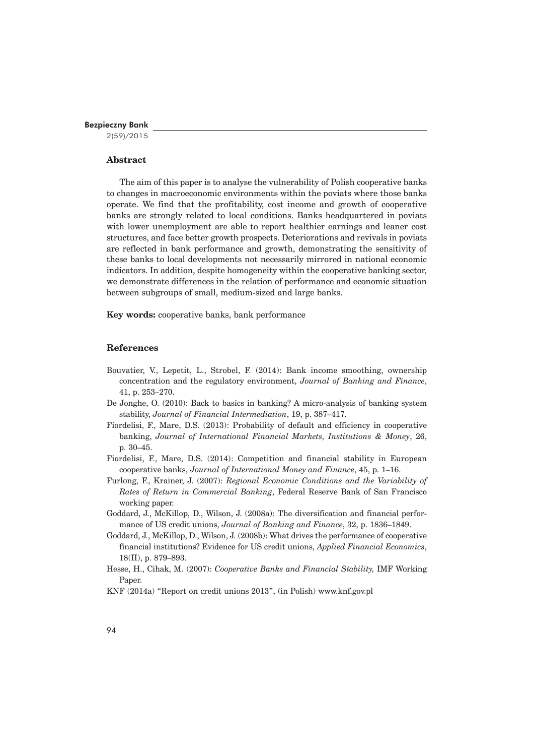2(59)/2015

## **Abstract**

The aim of this paper is to analyse the vulnerability of Polish cooperative banks to changes in macroeconomic environments within the poviats where those banks operate. We find that the profitability, cost income and growth of cooperative banks are strongly related to local conditions. Banks headquartered in poviats with lower unemployment are able to report healthier earnings and leaner cost structures, and face better growth prospects. Deteriorations and revivals in poviats are reflected in bank performance and growth, demonstrating the sensitivity of these banks to local developments not necessarily mirrored in national economic indicators. In addition, despite homogeneity within the cooperative banking sector, we demonstrate differences in the relation of performance and economic situation between subgroups of small, medium-sized and large banks.

**Key words:** cooperative banks, bank performance

## **References**

- Bouvatier, V., Lepetit, L., Strobel, F. (2014): Bank income smoothing, ownership concentration and the regulatory environment, *Journal of Banking and Finance*, 41, p. 253–270.
- De Jonghe, O. (2010): Back to basics in banking? A micro-analysis of banking system stability, *Journal of Financial Intermediation*, 19, p. 387–417.
- Fiordelisi, F., Mare, D.S. (2013): Probability of default and efficiency in cooperative banking, *Journal of International Financial Markets, Institutions & Money*, 26, p. 30–45.
- Fiordelisi, F., Mare, D.S. (2014): Competition and financial stability in European cooperative banks, *Journal of International Money and Finance*, 45, p. 1–16.
- Furlong, F., Krainer, J. (2007): *Regional Economic Conditions and the Variability of Rates of Return in Commercial Banking*, Federal Reserve Bank of San Francisco working paper.
- Goddard, J., McKillop, D., Wilson, J. (2008a): The diversification and financial performance of US credit unions, *Journal of Banking and Finance*, 32, p. 1836–1849.
- Goddard, J., McKillop, D., Wilson, J. (2008b): What drives the performance of cooperative financial institutions? Evidence for US credit unions, *Applied Financial Economics*, 18(II), p. 879–893.
- Hesse, H., Cihak, M. (2007): *Cooperative Banks and Financial Stability,* IMF Working Paper
- KNF (2014a) "Report on credit unions 2013", (in Polish) www.knf.gov.pl